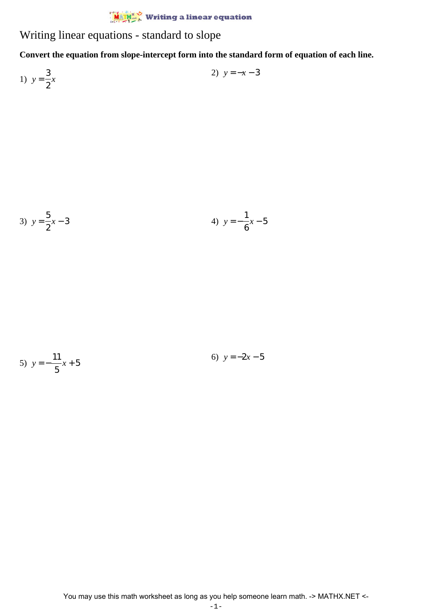Writing linear equations - standard to slope

**Convert the equation from slope-intercept form into the standard form of equation of each line.**

1)  $y =$ 3 2 *x* 2)  $y = -x - 3$ 

3) 
$$
y = \frac{5}{2}x - 3
$$
  
4)  $y = -\frac{1}{6}x - 5$ 

5) 
$$
y = -\frac{11}{x}x + 5
$$
 6)  $y = -2x - 5$ 

5

You may use this math worksheet as long as you help someone learn math. -> MATHX.NET <-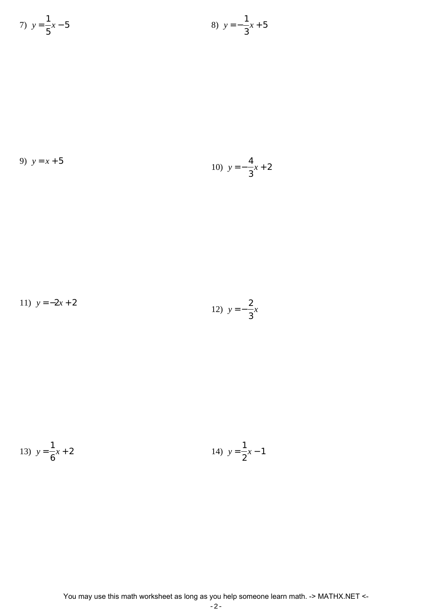7) 
$$
y = \frac{1}{5}x - 5
$$
  
8)  $y = -\frac{1}{3}x + 5$ 

9) 
$$
y = x + 5
$$
  
10)  $y = -\frac{4}{3}x + 2$ 

11) 
$$
y = -2x + 2
$$
  
12)  $y = -\frac{2}{3}x$ 

13) 
$$
y = \frac{1}{6}x + 2
$$
  
14)  $y = \frac{1}{2}x - 1$ 

$$
-\,2\,-
$$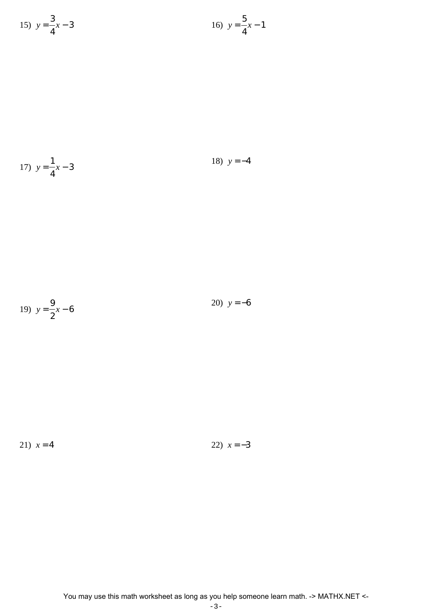15) 
$$
y = \frac{3}{4}x - 3
$$
  
16)  $y = \frac{5}{4}x - 1$ 

17) 
$$
y = \frac{1}{4}x - 3
$$
 18)  $y = -4$ 

19) 
$$
y = \frac{9}{2}x - 6
$$
 20)  $y = -6$ 

2

$$
21) \ \ x = 4 \tag{22} \ \ x = -3
$$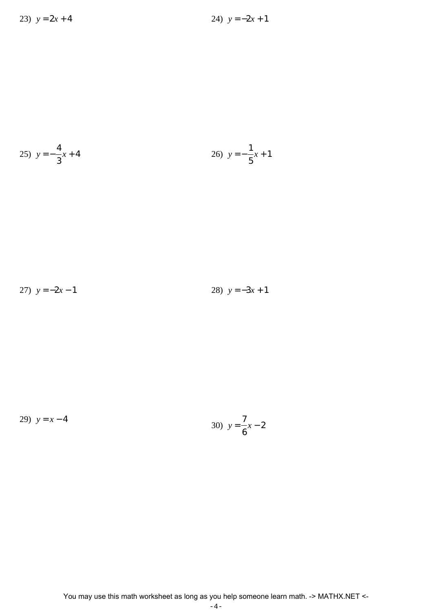25) 
$$
y = -\frac{4}{3}x + 4
$$
  
26)  $y = -\frac{1}{5}x + 1$ 

27)  $y = -2x - 1$  28)  $y = -3x + 1$ 

29)  $y = x - 4$ 

30) 
$$
y = \frac{7}{6}x - 2
$$